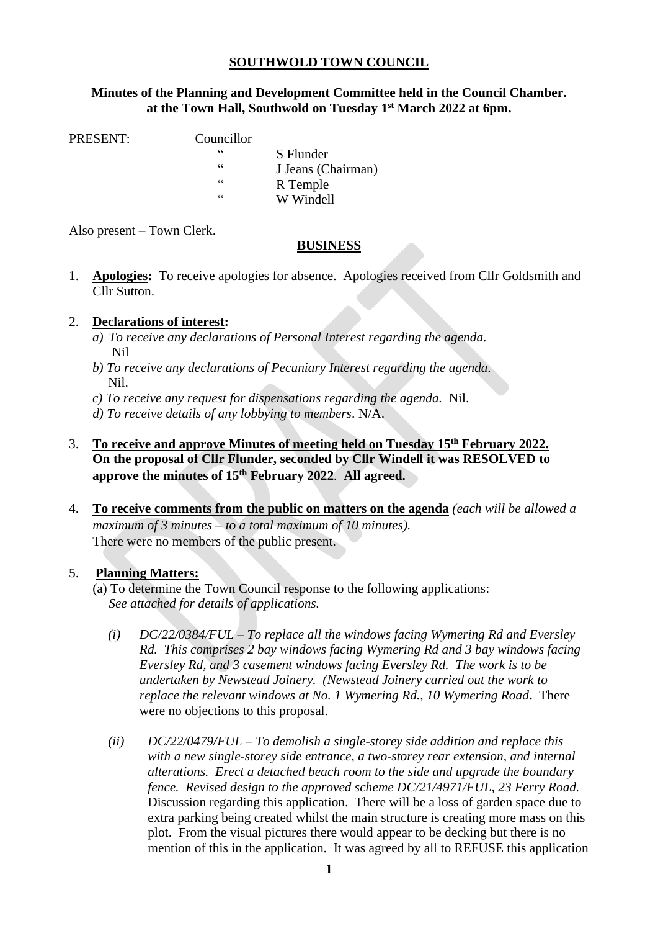### **SOUTHWOLD TOWN COUNCIL**

### **Minutes of the Planning and Development Committee held in the Council Chamber. at the Town Hall, Southwold on Tuesday 1 st March 2022 at 6pm.**

PRESENT: Councillor

- - " S Flunder
		- " J Jeans (Chairman)
	- " R Temple
		- W Windell

Also present – Town Clerk.

### **BUSINESS**

1. **Apologies:** To receive apologies for absence. Apologies received from Cllr Goldsmith and Cllr Sutton.

### 2. **Declarations of interest:**

- *a) To receive any declarations of Personal Interest regarding the agenda*. Nil
- *b) To receive any declarations of Pecuniary Interest regarding the agenda.* Nil.
- *c) To receive any request for dispensations regarding the agenda.* Nil.
- *d) To receive details of any lobbying to members*. N/A.
- 3. **To receive and approve Minutes of meeting held on Tuesday 15th February 2022. On the proposal of Cllr Flunder, seconded by Cllr Windell it was RESOLVED to approve the minutes of 15th February 2022**. **All agreed.**
- 4. **To receive comments from the public on matters on the agenda** *(each will be allowed a maximum of 3 minutes – to a total maximum of 10 minutes).* There were no members of the public present.

# 5. **Planning Matters:**

- (a) To determine the Town Council response to the following applications: *See attached for details of applications.*
	- *(i) DC/22/0384/FUL – To replace all the windows facing Wymering Rd and Eversley Rd. This comprises 2 bay windows facing Wymering Rd and 3 bay windows facing Eversley Rd, and 3 casement windows facing Eversley Rd. The work is to be undertaken by Newstead Joinery. (Newstead Joinery carried out the work to replace the relevant windows at No. 1 Wymering Rd., 10 Wymering Road***.** There were no objections to this proposal.
	- *(ii) DC/22/0479/FUL – To demolish a single-storey side addition and replace this with a new single-storey side entrance, a two-storey rear extension, and internal alterations. Erect a detached beach room to the side and upgrade the boundary fence. Revised design to the approved scheme DC/21/4971/FUL, 23 Ferry Road.* Discussion regarding this application. There will be a loss of garden space due to extra parking being created whilst the main structure is creating more mass on this plot. From the visual pictures there would appear to be decking but there is no mention of this in the application. It was agreed by all to REFUSE this application